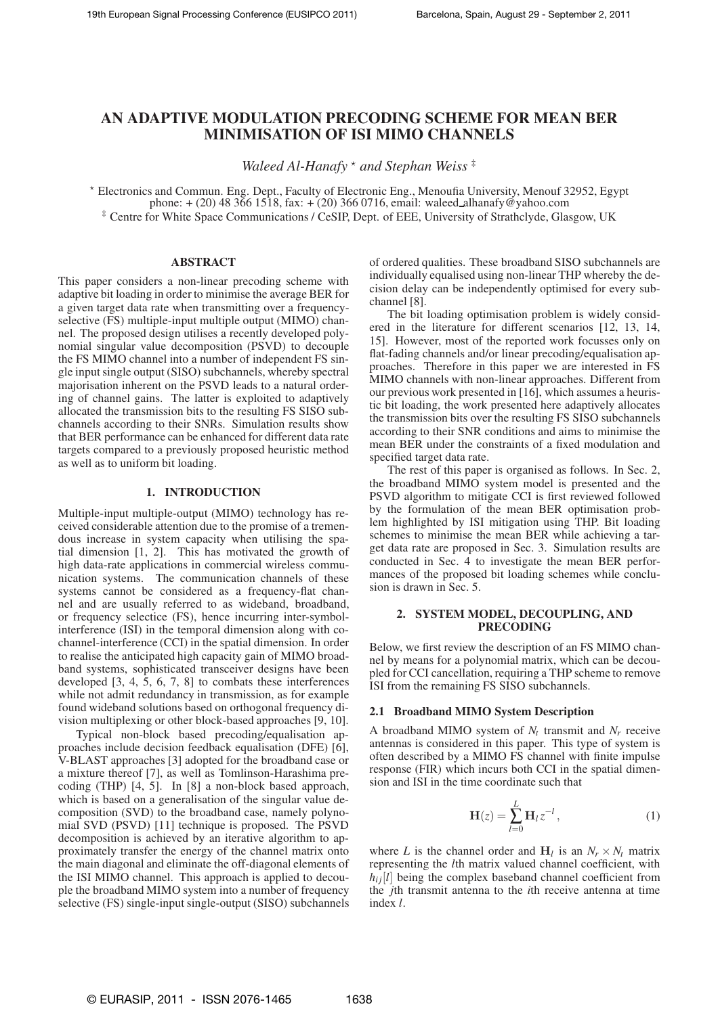# **AN ADAPTIVE MODULATION PRECODING SCHEME FOR MEAN BER MINIMISATION OF ISI MIMO CHANNELS**

*Waleed Al-Hanafy*  $*$  *and Stephan Weiss*  $*$ 

<sup>⋆</sup> Electronics and Commun. Eng. Dept., Faculty of Electronic Eng., Menoufia University, Menouf 32952, Egypt phone: + (20) 48 366 1518, fax: + (20) 366 0716, email: waleed alhanafy@yahoo.com ‡ Centre for White Space Communications / CeSIP, Dept. of EEE, University of Strathclyde, Glasgow, UK

# **ABSTRACT**

This paper considers a non-linear precoding scheme with adaptive bit loading in order to minimise the average BER for a given target data rate when transmitting over a frequencyselective (FS) multiple-input multiple output (MIMO) channel. The proposed design utilises a recently developed polynomial singular value decomposition (PSVD) to decouple the FS MIMO channel into a number of independent FS single input single output (SISO) subchannels, whereby spectral majorisation inherent on the PSVD leads to a natural ordering of channel gains. The latter is exploited to adaptively allocated the transmission bits to the resulting FS SISO subchannels according to their SNRs. Simulation results show that BER performance can be enhanced for different data rate targets compared to a previously proposed heuristic method as well as to uniform bit loading.

## **1. INTRODUCTION**

Multiple-input multiple-output (MIMO) technology has received considerable attention due to the promise of a tremendous increase in system capacity when utilising the spatial dimension [1, 2]. This has motivated the growth of high data-rate applications in commercial wireless communication systems. The communication channels of these systems cannot be considered as a frequency-flat channel and are usually referred to as wideband, broadband, or frequency selectice (FS), hence incurring inter-symbolinterference (ISI) in the temporal dimension along with cochannel-interference (CCI) in the spatial dimension. In order to realise the anticipated high capacity gain of MIMO broadband systems, sophisticated transceiver designs have been developed [3, 4, 5, 6, 7, 8] to combats these interferences while not admit redundancy in transmission, as for example found wideband solutions based on orthogonal frequency division multiplexing or other block-based approaches [9, 10].

Typical non-block based precoding/equalisation approaches include decision feedback equalisation (DFE) [6], V-BLAST approaches [3] adopted for the broadband case or a mixture thereof [7], as well as Tomlinson-Harashima precoding (THP) [4, 5]. In [8] a non-block based approach, which is based on a generalisation of the singular value decomposition (SVD) to the broadband case, namely polynomial SVD (PSVD) [11] technique is proposed. The PSVD decomposition is achieved by an iterative algorithm to approximately transfer the energy of the channel matrix onto the main diagonal and eliminate the off-diagonal elements of the ISI MIMO channel. This approach is applied to decouple the broadband MIMO system into a number of frequency selective (FS) single-input single-output (SISO) subchannels of ordered qualities. These broadband SISO subchannels are individually equalised using non-linear THP whereby the decision delay can be independently optimised for every subchannel [8].

The bit loading optimisation problem is widely considered in the literature for different scenarios [12, 13, 14, 15]. However, most of the reported work focusses only on flat-fading channels and/or linear precoding/equalisation approaches. Therefore in this paper we are interested in FS MIMO channels with non-linear approaches. Different from our previous work presented in [16], which assumes a heuristic bit loading, the work presented here adaptively allocates the transmission bits over the resulting FS SISO subchannels according to their SNR conditions and aims to minimise the mean BER under the constraints of a fixed modulation and specified target data rate.

The rest of this paper is organised as follows. In Sec. 2, the broadband MIMO system model is presented and the PSVD algorithm to mitigate CCI is first reviewed followed by the formulation of the mean BER optimisation problem highlighted by ISI mitigation using THP. Bit loading schemes to minimise the mean BER while achieving a target data rate are proposed in Sec. 3. Simulation results are conducted in Sec. 4 to investigate the mean BER performances of the proposed bit loading schemes while conclusion is drawn in Sec. 5.

## **2. SYSTEM MODEL, DECOUPLING, AND PRECODING**

Below, we first review the description of an FS MIMO channel by means for a polynomial matrix, which can be decoupled for CCI cancellation, requiring a THP scheme to remove ISI from the remaining FS SISO subchannels.

### **2.1 Broadband MIMO System Description**

A broadband MIMO system of *N<sup>t</sup>* transmit and *N<sup>r</sup>* receive antennas is considered in this paper. This type of system is often described by a MIMO FS channel with finite impulse response (FIR) which incurs both CCI in the spatial dimension and ISI in the time coordinate such that

$$
\mathbf{H}(z) = \sum_{l=0}^{L} \mathbf{H}_l z^{-l},\tag{1}
$$

where *L* is the channel order and  $H_l$  is an  $N_r \times N_l$  matrix representing the *l*th matrix valued channel coefficient, with  $h_{ij}[l]$  being the complex baseband channel coefficient from the *j*th transmit antenna to the *i*th receive antenna at time index *l*.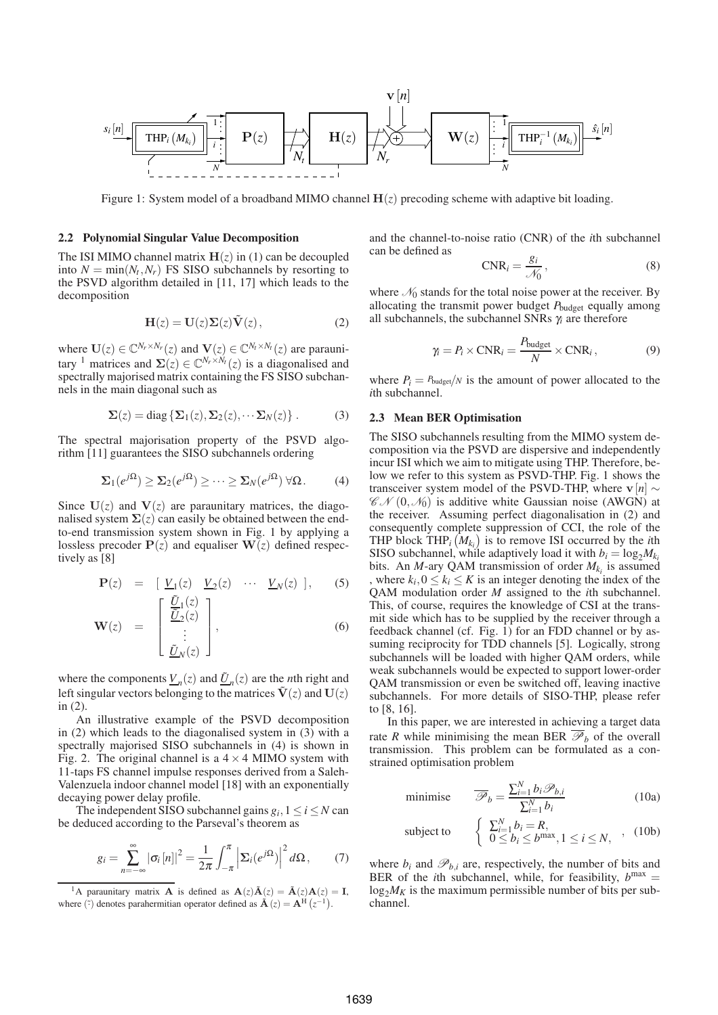

Figure 1: System model of a broadband MIMO channel  $H(z)$  precoding scheme with adaptive bit loading.

#### **2.2 Polynomial Singular Value Decomposition**

The ISI MIMO channel matrix  $H(z)$  in (1) can be decoupled into  $N = \min(N_t, N_r)$  FS SISO subchannels by resorting to the PSVD algorithm detailed in [11, 17] which leads to the decomposition

$$
\mathbf{H}(z) = \mathbf{U}(z)\mathbf{\Sigma}(z)\tilde{\mathbf{V}}(z), \tag{2}
$$

where  $\mathbf{U}(z) \in \mathbb{C}^{N_r \times N_r}(z)$  and  $\mathbf{V}(z) \in \mathbb{C}^{N_t \times N_t}(z)$  are paraunitary <sup>1</sup> matrices and  $\Sigma(z) \in \mathbb{C}^{N_r \times N_t}(z)$  is a diagonalised and spectrally majorised matrix containing the FS SISO subchannels in the main diagonal such as

$$
\Sigma(z) = \text{diag}\left\{\Sigma_1(z), \Sigma_2(z), \cdots \Sigma_N(z)\right\}.
$$
 (3)

The spectral majorisation property of the PSVD algorithm [11] guarantees the SISO subchannels ordering

$$
\Sigma_1(e^{j\Omega}) \geq \Sigma_2(e^{j\Omega}) \geq \cdots \geq \Sigma_N(e^{j\Omega}) \,\forall \Omega.
$$
 (4)

Since  $U(z)$  and  $V(z)$  are paraunitary matrices, the diagonalised system  $\Sigma(z)$  can easily be obtained between the endto-end transmission system shown in Fig. 1 by applying a lossless precoder  $P(z)$  and equaliser  $W(z)$  defined respectively as [8]

$$
\mathbf{P}(z) = \begin{bmatrix} \underline{V}_1(z) & \underline{V}_2(z) & \cdots & \underline{V}_N(z) \end{bmatrix}, \qquad (5)
$$

$$
\mathbf{W}(z) = \begin{bmatrix} \frac{\tilde{U}_1(z)}{\tilde{U}_2(z)} \\ \vdots \\ \frac{\tilde{U}_N(z)}{\tilde{U}_N(z)} \end{bmatrix}, \qquad (6)
$$

where the components  $\underline{V}_n(z)$  and  $\underline{\tilde{U}}_n(z)$  are the *n*th right and left singular vectors belonging to the matrices  $\tilde{V}(z)$  and  $U(z)$ in (2).

An illustrative example of the PSVD decomposition in (2) which leads to the diagonalised system in (3) with a spectrally majorised SISO subchannels in (4) is shown in Fig. 2. The original channel is a  $4 \times 4$  MIMO system with 11-taps FS channel impulse responses derived from a Saleh-Valenzuela indoor channel model [18] with an exponentially decaying power delay profile.

The independent SISO subchannel gains  $g_i$ ,  $1 \le i \le N$  can be deduced according to the Parseval's theorem as

$$
g_i = \sum_{n=-\infty}^{\infty} |\sigma_i[n]|^2 = \frac{1}{2\pi} \int_{-\pi}^{\pi} \left| \Sigma_i(e^{j\Omega}) \right|^2 d\Omega, \tag{7}
$$

and the channel-to-noise ratio (CNR) of the *i*th subchannel can be defined as

$$
CNR_i = \frac{g_i}{\mathcal{N}_0},\tag{8}
$$

where  $\mathcal{N}_0$  stands for the total noise power at the receiver. By allocating the transmit power budget *P*budget equally among all subchannels, the subchannel SNRs <sup>γ</sup>*<sup>i</sup>* are therefore

$$
\gamma_i = P_i \times \text{CNR}_i = \frac{P_{\text{budget}}}{N} \times \text{CNR}_i, \tag{9}
$$

where  $P_i = P_{\text{budget}}/N$  is the amount of power allocated to the *i*th subchannel.

# **2.3 Mean BER Optimisation**

The SISO subchannels resulting from the MIMO system decomposition via the PSVD are dispersive and independently incur ISI which we aim to mitigate using THP. Therefore, below we refer to this system as PSVD-THP. Fig. 1 shows the transceiver system model of the PSVD-THP, where <sup>v</sup>[*n*] <sup>∼</sup>  $\mathscr{CN}(0,\mathscr{N}_0)$  is additive white Gaussian noise (AWGN) at the receiver. Assuming perfect diagonalisation in (2) and consequently complete suppression of CCI, the role of the THP block THP<sub>*i*</sub></sub> $(M_{k_i})$  is to remove ISI occurred by the *i*th SISO subchannel, while adaptively load it with  $b_i = \log_2 M_k$ bits. An *M*-ary QAM transmission of order  $M_{k_i}$  is assumed , where  $k_i$ ,  $0 \le k_i \le K$  is an integer denoting the index of the QAM modulation order *M* assigned to the *i*th subchannel. This, of course, requires the knowledge of CSI at the transmit side which has to be supplied by the receiver through a feedback channel (cf. Fig. 1) for an FDD channel or by assuming reciprocity for TDD channels [5]. Logically, strong subchannels will be loaded with higher QAM orders, while weak subchannels would be expected to support lower-order QAM transmission or even be switched off, leaving inactive subchannels. For more details of SISO-THP, please refer to [8, 16].

In this paper, we are interested in achieving a target data rate *R* while minimising the mean BER  $\overline{\mathcal{P}}_b$  of the overall transmission. This problem can be formulated as a constrained optimisation problem

minimise 
$$
\overline{\mathscr{P}}_b = \frac{\sum_{i=1}^{N} b_i \mathscr{P}_{b,i}}{\sum_{i=1}^{N} b_i}
$$
 (10a)

subject to 
$$
\begin{cases} \sum_{i=1}^{N} b_i = R, \\ 0 \leq b_i \leq b^{\max}, 1 \leq i \leq N, \end{cases}
$$
, (10b)

where  $b_i$  and  $\mathscr{P}_{b,i}$  are, respectively, the number of bits and BER of the *i*th subchannel, while, for feasibility,  $b^{max} =$  $\log_2 M_K$  is the maximum permissible number of bits per subchannel.

<sup>&</sup>lt;sup>1</sup>A paraunitary matrix **A** is defined as  $\mathbf{A}(z)\tilde{\mathbf{A}}(z) = \tilde{\mathbf{A}}(z)\mathbf{A}(z) = \mathbf{I}$ , where  $(\tilde{z})$  denotes parahermitian operator defined as  $\tilde{A}(z) = A^H(z^{-1})$ .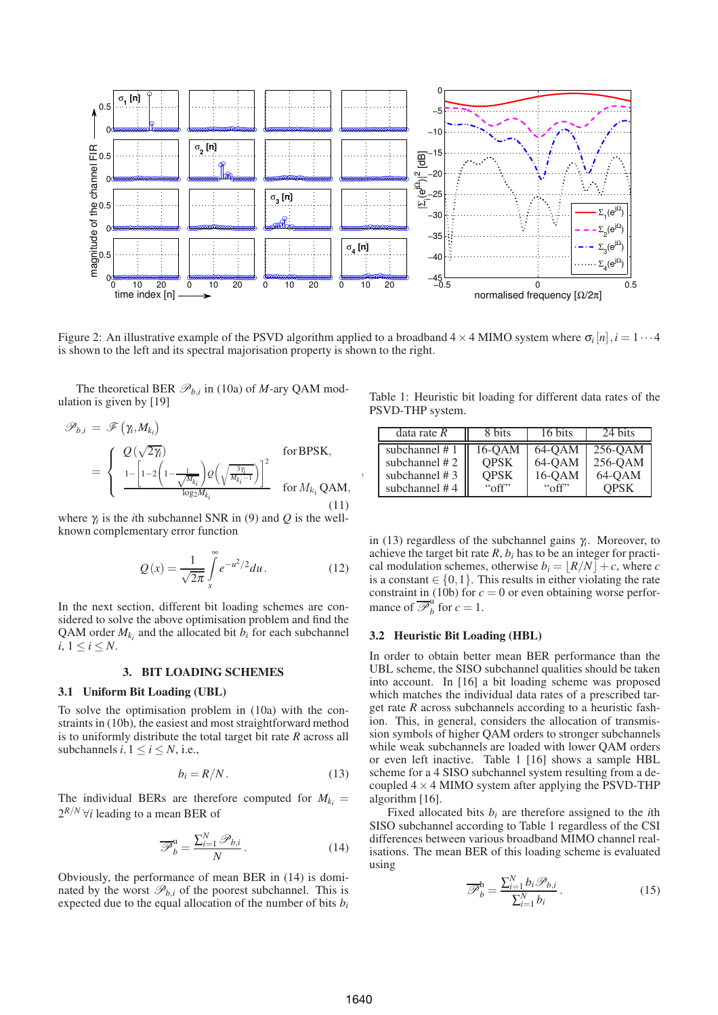

Figure 2: An illustrative example of the PSVD algorithm applied to a broadband  $4 \times 4$  MIMO system where  $\sigma_i[n], i = 1 \cdots 4$ is shown to the left and its spectral majorisation property is shown to the right.

,

The theoretical BER  $\mathcal{P}_{b,i}$  in (10a) of *M*-ary QAM modulation is given by [19]

$$
\mathscr{P}_{b,i} = \mathscr{F}(\gamma_i, M_{k_i})
$$
\n
$$
= \begin{cases}\nQ(\sqrt{2\gamma_i}) & \text{for BPSK,} \\
\frac{1 - \left[1 - 2\left(1 - \frac{1}{\sqrt{M_{k_i}}}\right)Q\left(\sqrt{\frac{3\gamma_i}{M_{k_i} - 1}}\right)\right]^2}{\log_2 M_{k_i}} & \text{for } M_{k_i} \text{QAM,} \\
\end{cases}
$$
\n(11)

where  $\gamma$  is the *i*th subchannel SNR in (9) and  $Q$  is the wellknown complementary error function

$$
Q(x) = \frac{1}{\sqrt{2\pi}} \int\limits_{x}^{\infty} e^{-u^2/2} du.
$$
 (12)

In the next section, different bit loading schemes are considered to solve the above optimisation problem and find the QAM order  $M_{k_i}$  and the allocated bit  $b_i$  for each subchannel  $i, 1 \leq i \leq N$ .

### **3. BIT LOADING SCHEMES**

## **3.1 Uniform Bit Loading (UBL)**

To solve the optimisation problem in (10a) with the constraints in (10b), the easiest and most straightforward method is to uniformly distribute the total target bit rate *R* across all subchannels  $i, 1 \le i \le N$ , i.e.,

$$
b_i = R/N. \tag{13}
$$

The individual BERs are therefore computed for  $M_k =$  $2^{R/N}$   $\forall i$  leading to a mean BER of

$$
\overline{\mathscr{P}}_b^{\mathrm{u}} = \frac{\sum_{i=1}^N \mathscr{P}_{b,i}}{N} \,. \tag{14}
$$

Obviously, the performance of mean BER in (14) is dominated by the worst  $\mathcal{P}_{b,i}$  of the poorest subchannel. This is expected due to the equal allocation of the number of bits *b<sup>i</sup>*

Table 1: Heuristic bit loading for different data rates of the PSVD-THP system.

| data rate $R$    | 8 bits         | 16 bits        | 24 bits     |
|------------------|----------------|----------------|-------------|
| subchannel #1    | 16-OAM         | 64-OAM         | 256-OAM     |
| subchannel #2    | <b>OPSK</b>    | 64-QAM         | 256-QAM     |
| subchannel $# 3$ | <b>OPSK</b>    | 16-QAM         | 64-QAM      |
| subchannel #4    | $``\alpha ff"$ | $``\alpha$ ff" | <b>OPSK</b> |

in (13) regardless of the subchannel gains <sup>γ</sup>*<sup>i</sup>* . Moreover, to achieve the target bit rate  $R$ ,  $b_i$  has to be an integer for practical modulation schemes, otherwise  $b_i = |R/N| + c$ , where *c* is a constant  $\in \{0,1\}$ . This results in either violating the rate constraint in (10b) for  $c = 0$  or even obtaining worse performance of  $\overline{\mathscr{P}}_h^{\text{u}}$  $\int_{b}^{\mathfrak{a}}$  for  $c=1$ .

### **3.2 Heuristic Bit Loading (HBL)**

In order to obtain better mean BER performance than the UBL scheme, the SISO subchannel qualities should be taken into account. In [16] a bit loading scheme was proposed which matches the individual data rates of a prescribed target rate *R* across subchannels according to a heuristic fashion. This, in general, considers the allocation of transmission symbols of higher QAM orders to stronger subchannels while weak subchannels are loaded with lower QAM orders or even left inactive. Table 1 [16] shows a sample HBL scheme for a 4 SISO subchannel system resulting from a decoupled  $4 \times 4$  MIMO system after applying the PSVD-THP algorithm [16].

Fixed allocated bits  $b_i$  are therefore assigned to the *i*th SISO subchannel according to Table 1 regardless of the CSI differences between various broadband MIMO channel realisations. The mean BER of this loading scheme is evaluated using

$$
\overline{\mathscr{P}}_b^{\text{h}} = \frac{\sum_{i=1}^{N} b_i \mathscr{P}_{b,i}}{\sum_{i=1}^{N} b_i}.
$$
 (15)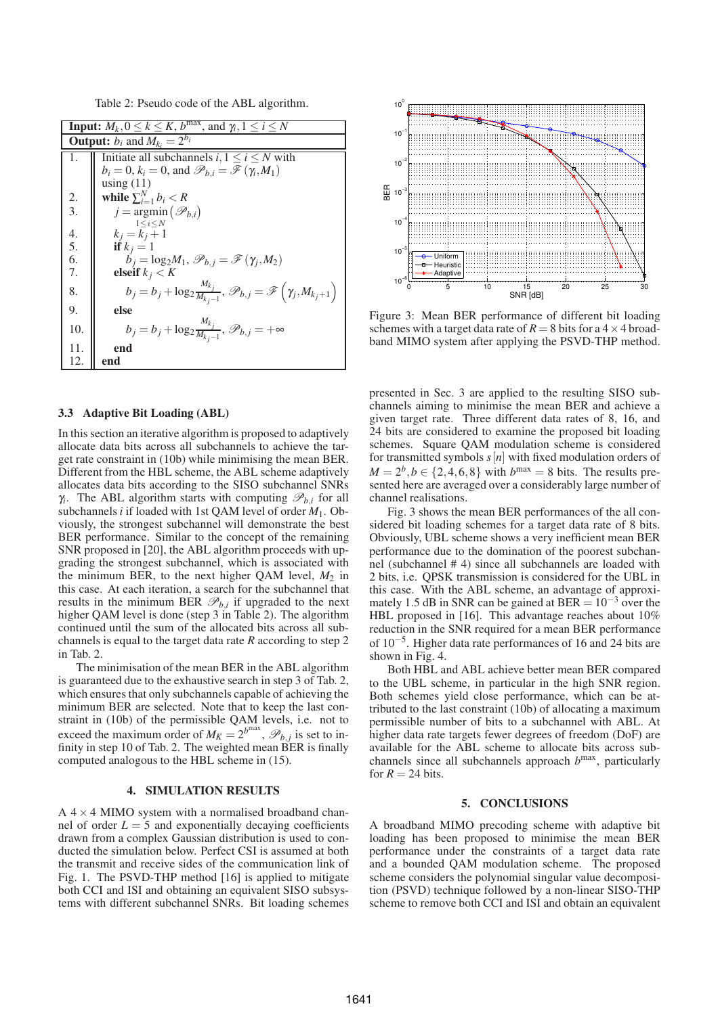Table 2: Pseudo code of the ABL algorithm.

| <b>Input:</b> $M_k$ , $0 \le k \le K$ , $b^{max}$ , and $\gamma_i$ , $1 \le i \le N$ |                                                                                                                 |  |
|--------------------------------------------------------------------------------------|-----------------------------------------------------------------------------------------------------------------|--|
| <b>Output:</b> $b_i$ and $M_k = 2^{b_i}$                                             |                                                                                                                 |  |
| 1.                                                                                   | Initiate all subchannels $i, 1 \le i \le N$ with                                                                |  |
|                                                                                      | $b_i = 0$ , $k_i = 0$ , and $\mathcal{P}_{b,i} = \mathcal{F}(\gamma_i, M_1)$                                    |  |
|                                                                                      | using $(11)$                                                                                                    |  |
| 2.                                                                                   | while $\sum_{i=1}^{N} b_i < R$                                                                                  |  |
| $\overline{3}$ .                                                                     | $j = \argmin(\mathcal{P}_{b,i})$                                                                                |  |
|                                                                                      | $1 \le i \le N$                                                                                                 |  |
| $rac{4}{5}$ .                                                                        | $k_i = k_i + 1$                                                                                                 |  |
|                                                                                      | if $k_i = 1$                                                                                                    |  |
| 6.                                                                                   | $\hat{b}_i = \log_2 M_1, \mathcal{P}_{b,i} = \mathcal{F}(\gamma_i, M_2)$                                        |  |
| 7.                                                                                   | elseif $k_j < K$                                                                                                |  |
| 8.                                                                                   | $b_j = b_j + \log_2 \frac{M_{k_j}}{M_{k_j-1}}, \mathcal{P}_{b,j} = \mathcal{F}\left(\gamma_j, M_{k_j+1}\right)$ |  |
| 9.                                                                                   | else                                                                                                            |  |
| 10.                                                                                  | $b_j = b_j + \log_2 \frac{M_{k_j}}{M_{k_j-1}}, \ \mathscr{P}_{b,j} = +\infty$                                   |  |
| 11.                                                                                  | end                                                                                                             |  |
| 12.                                                                                  | end                                                                                                             |  |

# **3.3 Adaptive Bit Loading (ABL)**

In this section an iterative algorithm is proposed to adaptively allocate data bits across all subchannels to achieve the target rate constraint in (10b) while minimising the mean BER. Different from the HBL scheme, the ABL scheme adaptively allocates data bits according to the SISO subchannel SNRs  $\gamma_i$ . The ABL algorithm starts with computing  $\mathcal{P}_{b,i}$  for all subchannels*i* if loaded with 1st QAM level of order *M*1. Obviously, the strongest subchannel will demonstrate the best BER performance. Similar to the concept of the remaining SNR proposed in [20], the ABL algorithm proceeds with upgrading the strongest subchannel, which is associated with the minimum BER, to the next higher QAM level, *M*<sup>2</sup> in this case. At each iteration, a search for the subchannel that results in the minimum BER  $\mathcal{P}_{b,i}$  if upgraded to the next higher QAM level is done (step 3 in Table 2). The algorithm continued until the sum of the allocated bits across all subchannels is equal to the target data rate *R* according to step 2 in Tab. 2.

The minimisation of the mean BER in the ABL algorithm is guaranteed due to the exhaustive search in step 3 of Tab. 2, which ensures that only subchannels capable of achieving the minimum BER are selected. Note that to keep the last constraint in (10b) of the permissible QAM levels, i.e. not to exceed the maximum order of  $M_K = 2^{b^{\text{max}}}$ ,  $\mathscr{P}_{b,j}$  is set to infinity in step 10 of Tab. 2. The weighted mean BER is finally computed analogous to the HBL scheme in (15).

### **4. SIMULATION RESULTS**

 $A$  4  $\times$  4 MIMO system with a normalised broadband channel of order  $L = 5$  and exponentially decaying coefficients drawn from a complex Gaussian distribution is used to conducted the simulation below. Perfect CSI is assumed at both the transmit and receive sides of the communication link of Fig. 1. The PSVD-THP method [16] is applied to mitigate both CCI and ISI and obtaining an equivalent SISO subsystems with different subchannel SNRs. Bit loading schemes



Figure 3: Mean BER performance of different bit loading schemes with a target data rate of  $R = 8$  bits for a  $4 \times 4$  broadband MIMO system after applying the PSVD-THP method.

presented in Sec. 3 are applied to the resulting SISO subchannels aiming to minimise the mean BER and achieve a given target rate. Three different data rates of 8, 16, and 24 bits are considered to examine the proposed bit loading schemes. Square QAM modulation scheme is considered for transmitted symbols  $s[n]$  with fixed modulation orders of  $M = 2^b, b \in \{2, 4, 6, 8\}$  with  $b^{max} = 8$  bits. The results presented here are averaged over a considerably large number of channel realisations.

Fig. 3 shows the mean BER performances of the all considered bit loading schemes for a target data rate of 8 bits. Obviously, UBL scheme shows a very inefficient mean BER performance due to the domination of the poorest subchannel (subchannel # 4) since all subchannels are loaded with 2 bits, i.e. QPSK transmission is considered for the UBL in this case. With the ABL scheme, an advantage of approximately 1.5 dB in SNR can be gained at BER =  $10^{-3}$  over the HBL proposed in [16]. This advantage reaches about 10% reduction in the SNR required for a mean BER performance of 10−<sup>5</sup> . Higher data rate performances of 16 and 24 bits are shown in Fig. 4.

Both HBL and ABL achieve better mean BER compared to the UBL scheme, in particular in the high SNR region. Both schemes yield close performance, which can be attributed to the last constraint (10b) of allocating a maximum permissible number of bits to a subchannel with ABL. At higher data rate targets fewer degrees of freedom (DoF) are available for the ABL scheme to allocate bits across subchannels since all subchannels approach *b* max, particularly for  $R = 24$  bits.

#### **5. CONCLUSIONS**

A broadband MIMO precoding scheme with adaptive bit loading has been proposed to minimise the mean BER performance under the constraints of a target data rate and a bounded QAM modulation scheme. The proposed scheme considers the polynomial singular value decomposition (PSVD) technique followed by a non-linear SISO-THP scheme to remove both CCI and ISI and obtain an equivalent